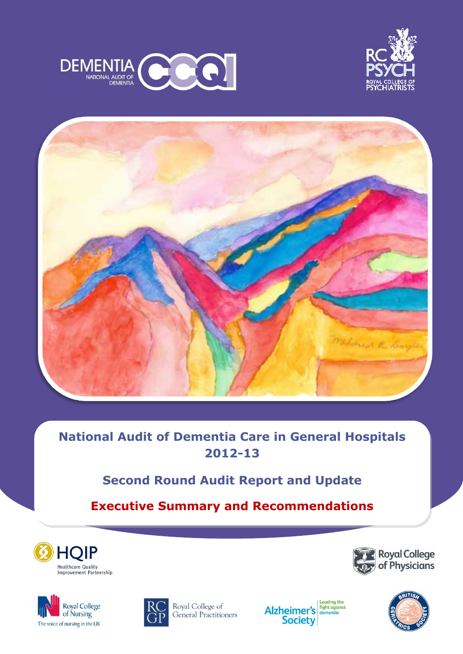





# **National Audit of Dementia Care in General Hospitals 2012-13**

# **Second Round Audit Report and Update**

**Executive Summary and Recommendations**







Royal College of General Practitioners





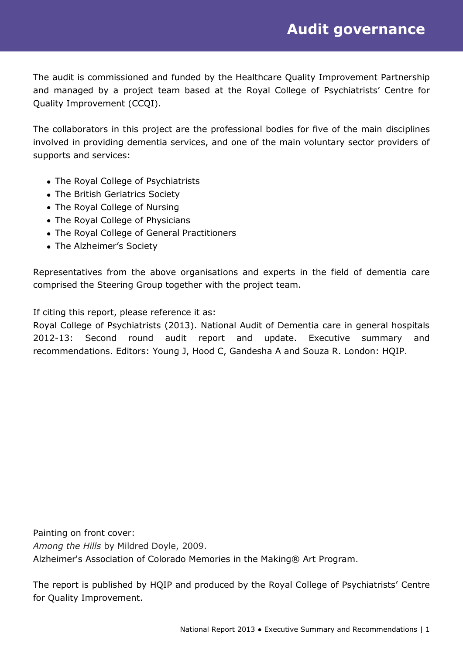The audit is commissioned and funded by the Healthcare Quality Improvement Partnership and managed by a project team based at the Royal College of Psychiatrists' Centre for Quality Improvement (CCQI).

The collaborators in this project are the professional bodies for five of the main disciplines involved in providing dementia services, and one of the main voluntary sector providers of supports and services:

- The Royal College of Psychiatrists
- The British Geriatrics Society
- The Royal College of Nursing
- The Royal College of Physicians
- The Royal College of General Practitioners
- The Alzheimer's Society

Representatives from the above organisations and experts in the field of dementia care comprised the Steering Group together with the project team.

If citing this report, please reference it as:

Royal College of Psychiatrists (2013). National Audit of Dementia care in general hospitals 2012-13: Second round audit report and update. Executive summary and recommendations. Editors: Young J, Hood C, Gandesha A and Souza R. London: HQIP.

Painting on front cover: *Among the Hills* by Mildred Doyle, 2009. Alzheimer's Association of Colorado Memories in the Making® Art Program.

The report is published by HQIP and produced by the Royal College of Psychiatrists' Centre for Quality Improvement.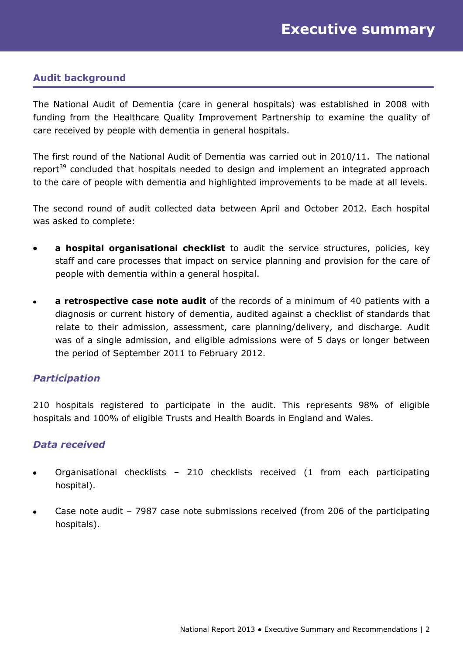# **Audit background**

The National Audit of Dementia (care in general hospitals) was established in 2008 with funding from the Healthcare Quality Improvement Partnership to examine the quality of care received by people with dementia in general hospitals.

The first round of the National Audit of Dementia was carried out in 2010/11. The national report<sup>39</sup> concluded that hospitals needed to design and implement an integrated approach to the care of people with dementia and highlighted improvements to be made at all levels.

The second round of audit collected data between April and October 2012. Each hospital was asked to complete:

- **a hospital organisational checklist** to audit the service structures, policies, key staff and care processes that impact on service planning and provision for the care of people with dementia within a general hospital.
- **a retrospective case note audit** of the records of a minimum of 40 patients with a  $\bullet$ diagnosis or current history of dementia, audited against a checklist of standards that relate to their admission, assessment, care planning/delivery, and discharge. Audit was of a single admission, and eligible admissions were of 5 days or longer between the period of September 2011 to February 2012.

# *Participation*

210 hospitals registered to participate in the audit. This represents 98% of eligible hospitals and 100% of eligible Trusts and Health Boards in England and Wales.

#### *Data received*

- Organisational checklists 210 checklists received (1 from each participating hospital).
- Case note audit 7987 case note submissions received (from 206 of the participating  $\bullet$ hospitals).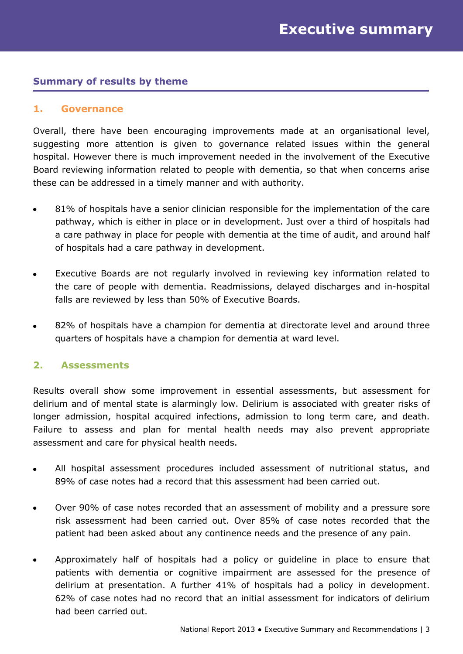# **Summary of results by theme**

#### **1. Governance**

Overall, there have been encouraging improvements made at an organisational level, suggesting more attention is given to governance related issues within the general hospital. However there is much improvement needed in the involvement of the Executive Board reviewing information related to people with dementia, so that when concerns arise these can be addressed in a timely manner and with authority.

- 81% of hospitals have a senior clinician responsible for the implementation of the care pathway, which is either in place or in development. Just over a third of hospitals had a care pathway in place for people with dementia at the time of audit, and around half of hospitals had a care pathway in development.
- Executive Boards are not regularly involved in reviewing key information related to  $\bullet$ the care of people with dementia. Readmissions, delayed discharges and in-hospital falls are reviewed by less than 50% of Executive Boards.
- 82% of hospitals have a champion for dementia at directorate level and around three quarters of hospitals have a champion for dementia at ward level.

#### **2. Assessments**

Results overall show some improvement in essential assessments, but assessment for delirium and of mental state is alarmingly low. Delirium is associated with greater risks of longer admission, hospital acquired infections, admission to long term care, and death. Failure to assess and plan for mental health needs may also prevent appropriate assessment and care for physical health needs.

- All hospital assessment procedures included assessment of nutritional status, and 89% of case notes had a record that this assessment had been carried out.
- Over 90% of case notes recorded that an assessment of mobility and a pressure sore risk assessment had been carried out. Over 85% of case notes recorded that the patient had been asked about any continence needs and the presence of any pain.
- Approximately half of hospitals had a policy or guideline in place to ensure that patients with dementia or cognitive impairment are assessed for the presence of delirium at presentation. A further 41% of hospitals had a policy in development. 62% of case notes had no record that an initial assessment for indicators of delirium had been carried out.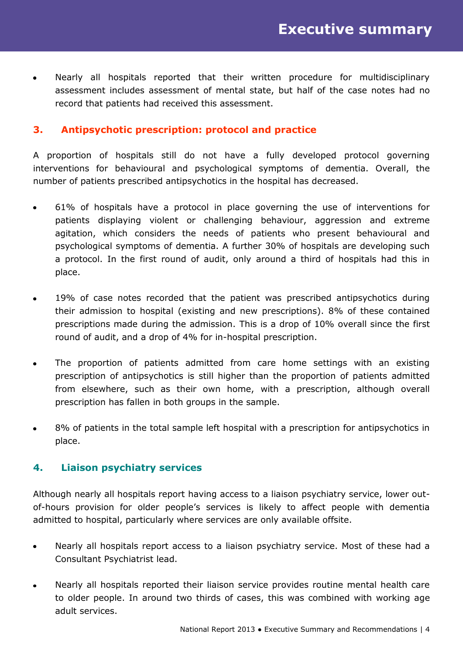Nearly all hospitals reported that their written procedure for multidisciplinary  $\bullet$ assessment includes assessment of mental state, but half of the case notes had no record that patients had received this assessment.

# **3. Antipsychotic prescription: protocol and practice**

A proportion of hospitals still do not have a fully developed protocol governing interventions for behavioural and psychological symptoms of dementia. Overall, the number of patients prescribed antipsychotics in the hospital has decreased.

- 61% of hospitals have a protocol in place governing the use of interventions for patients displaying violent or challenging behaviour, aggression and extreme agitation, which considers the needs of patients who present behavioural and psychological symptoms of dementia. A further 30% of hospitals are developing such a protocol. In the first round of audit, only around a third of hospitals had this in place.
- 19% of case notes recorded that the patient was prescribed antipsychotics during their admission to hospital (existing and new prescriptions). 8% of these contained prescriptions made during the admission. This is a drop of 10% overall since the first round of audit, and a drop of 4% for in-hospital prescription.
- The proportion of patients admitted from care home settings with an existing  $\bullet$ prescription of antipsychotics is still higher than the proportion of patients admitted from elsewhere, such as their own home, with a prescription, although overall prescription has fallen in both groups in the sample.
- 8% of patients in the total sample left hospital with a prescription for antipsychotics in place.

# **4. Liaison psychiatry services**

Although nearly all hospitals report having access to a liaison psychiatry service, lower outof-hours provision for older people's services is likely to affect people with dementia admitted to hospital, particularly where services are only available offsite.

- Nearly all hospitals report access to a liaison psychiatry service. Most of these had a  $\bullet$ Consultant Psychiatrist lead.
- Nearly all hospitals reported their liaison service provides routine mental health care  $\bullet$ to older people. In around two thirds of cases, this was combined with working age adult services.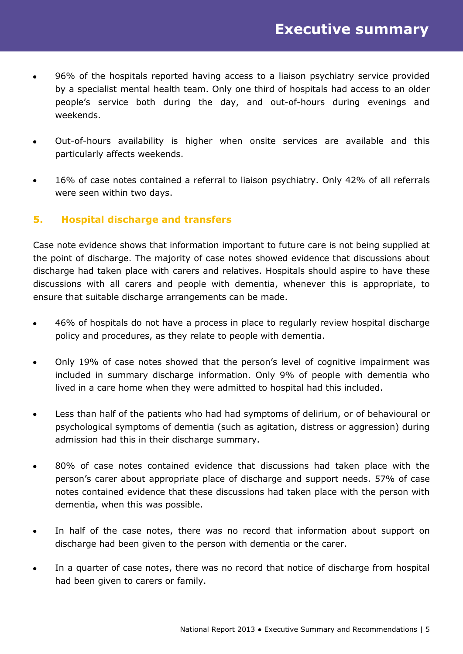- 96% of the hospitals reported having access to a liaison psychiatry service provided  $\bullet$ by a specialist mental health team. Only one third of hospitals had access to an older people's service both during the day, and out-of-hours during evenings and weekends.
- Out-of-hours availability is higher when onsite services are available and this  $\bullet$ particularly affects weekends.
- 16% of case notes contained a referral to liaison psychiatry. Only 42% of all referrals  $\bullet$ were seen within two days.

# **5. Hospital discharge and transfers**

Case note evidence shows that information important to future care is not being supplied at the point of discharge. The majority of case notes showed evidence that discussions about discharge had taken place with carers and relatives. Hospitals should aspire to have these discussions with all carers and people with dementia, whenever this is appropriate, to ensure that suitable discharge arrangements can be made.

- 46% of hospitals do not have a process in place to regularly review hospital discharge  $\bullet$ policy and procedures, as they relate to people with dementia.
- Only 19% of case notes showed that the person's level of cognitive impairment was  $\bullet$ included in summary discharge information. Only 9% of people with dementia who lived in a care home when they were admitted to hospital had this included.
- Less than half of the patients who had had symptoms of delirium, or of behavioural or  $\bullet$ psychological symptoms of dementia (such as agitation, distress or aggression) during admission had this in their discharge summary.
- 80% of case notes contained evidence that discussions had taken place with the  $\bullet$ person's carer about appropriate place of discharge and support needs. 57% of case notes contained evidence that these discussions had taken place with the person with dementia, when this was possible.
- In half of the case notes, there was no record that information about support on  $\bullet$ discharge had been given to the person with dementia or the carer.
- In a quarter of case notes, there was no record that notice of discharge from hospital  $\bullet$ had been given to carers or family.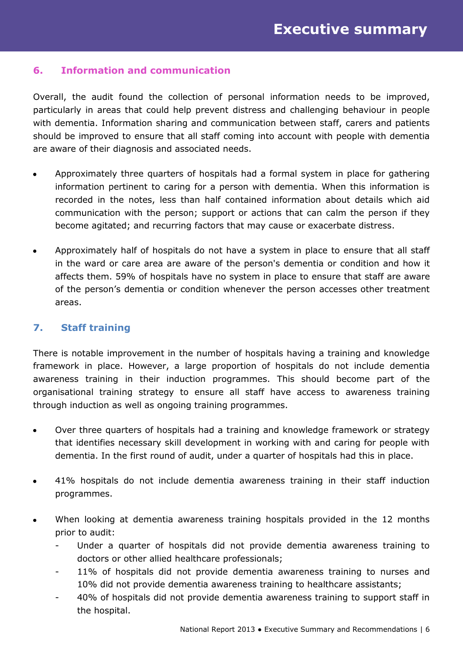## **6. Information and communication**

Overall, the audit found the collection of personal information needs to be improved, particularly in areas that could help prevent distress and challenging behaviour in people with dementia. Information sharing and communication between staff, carers and patients should be improved to ensure that all staff coming into account with people with dementia are aware of their diagnosis and associated needs.

- Approximately three quarters of hospitals had a formal system in place for gathering information pertinent to caring for a person with dementia. When this information is recorded in the notes, less than half contained information about details which aid communication with the person; support or actions that can calm the person if they become agitated; and recurring factors that may cause or exacerbate distress.
- Approximately half of hospitals do not have a system in place to ensure that all staff  $\bullet$ in the ward or care area are aware of the person's dementia or condition and how it affects them. 59% of hospitals have no system in place to ensure that staff are aware of the person's dementia or condition whenever the person accesses other treatment areas.

## **7. Staff training**

There is notable improvement in the number of hospitals having a training and knowledge framework in place. However, a large proportion of hospitals do not include dementia awareness training in their induction programmes. This should become part of the organisational training strategy to ensure all staff have access to awareness training through induction as well as ongoing training programmes.

- Over three quarters of hospitals had a training and knowledge framework or strategy  $\bullet$ that identifies necessary skill development in working with and caring for people with dementia. In the first round of audit, under a quarter of hospitals had this in place.
- 41% hospitals do not include dementia awareness training in their staff induction  $\bullet$ programmes.
- When looking at dementia awareness training hospitals provided in the 12 months  $\bullet$ prior to audit:
	- Under a quarter of hospitals did not provide dementia awareness training to doctors or other allied healthcare professionals;
	- 11% of hospitals did not provide dementia awareness training to nurses and 10% did not provide dementia awareness training to healthcare assistants;
	- 40% of hospitals did not provide dementia awareness training to support staff in the hospital.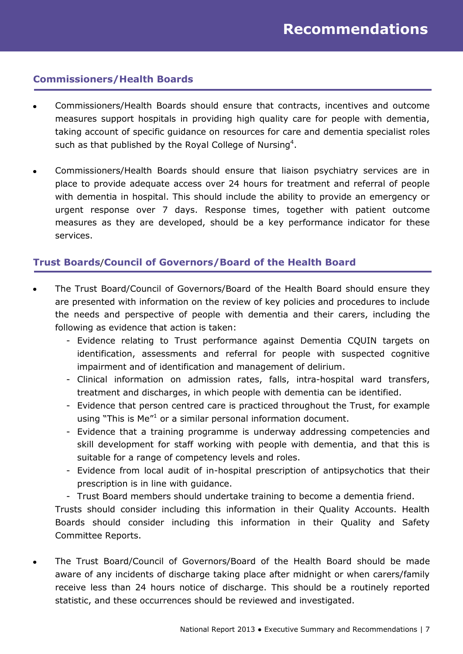## **Commissioners/Health Boards**

- Commissioners/Health Boards should ensure that contracts, incentives and outcome measures support hospitals in providing high quality care for people with dementia, taking account of specific guidance on resources for care and dementia specialist roles such as that published by the Royal College of Nursing<sup>4</sup>.
- Commissioners/Health Boards should ensure that liaison psychiatry services are in  $\bullet$ place to provide adequate access over 24 hours for treatment and referral of people with dementia in hospital. This should include the ability to provide an emergency or urgent response over 7 days. Response times, together with patient outcome measures as they are developed, should be a key performance indicator for these services.

# **Trust Boards**/**Council of Governors/Board of the Health Board**

- The Trust Board/Council of Governors/Board of the Health Board should ensure they are presented with information on the review of key policies and procedures to include the needs and perspective of people with dementia and their carers, including the following as evidence that action is taken:
	- Evidence relating to Trust performance against Dementia CQUIN targets on identification, assessments and referral for people with suspected cognitive impairment and of identification and management of delirium.
	- Clinical information on admission rates, falls, intra-hospital ward transfers, treatment and discharges, in which people with dementia can be identified.
	- Evidence that person centred care is practiced throughout the Trust, for example using "This is Me"<sup>1</sup> or a similar personal information document.
	- Evidence that a training programme is underway addressing competencies and skill development for staff working with people with dementia, and that this is suitable for a range of competency levels and roles.
	- Evidence from local audit of in-hospital prescription of antipsychotics that their prescription is in line with guidance.
	- Trust Board members should undertake training to become a dementia friend.

Trusts should consider including this information in their Quality Accounts. Health Boards should consider including this information in their Quality and Safety Committee Reports.

The Trust Board/Council of Governors/Board of the Health Board should be made aware of any incidents of discharge taking place after midnight or when carers/family receive less than 24 hours notice of discharge. This should be a routinely reported statistic, and these occurrences should be reviewed and investigated.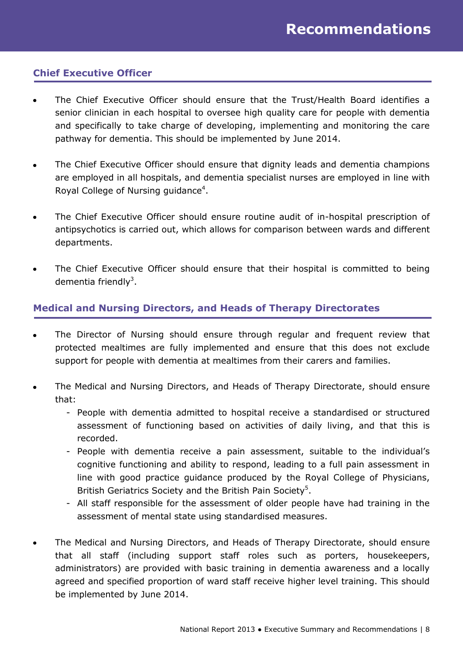# **Chief Executive Officer**

- The Chief Executive Officer should ensure that the Trust/Health Board identifies a senior clinician in each hospital to oversee high quality care for people with dementia and specifically to take charge of developing, implementing and monitoring the care pathway for dementia. This should be implemented by June 2014.
- The Chief Executive Officer should ensure that dignity leads and dementia champions  $\bullet$ are employed in all hospitals, and dementia specialist nurses are employed in line with Royal College of Nursing guidance<sup>4</sup>.
- The Chief Executive Officer should ensure routine audit of in-hospital prescription of  $\bullet$ antipsychotics is carried out, which allows for comparison between wards and different departments.
- The Chief Executive Officer should ensure that their hospital is committed to being dementia friendly<sup>3</sup>.

# **Medical and Nursing Directors, and Heads of Therapy Directorates**

- The Director of Nursing should ensure through regular and frequent review that protected mealtimes are fully implemented and ensure that this does not exclude support for people with dementia at mealtimes from their carers and families.
- The Medical and Nursing Directors, and Heads of Therapy Directorate, should ensure that:
	- People with dementia admitted to hospital receive a standardised or structured assessment of functioning based on activities of daily living, and that this is recorded.
	- People with dementia receive a pain assessment, suitable to the individual's cognitive functioning and ability to respond, leading to a full pain assessment in line with good practice guidance produced by the Royal College of Physicians, British Geriatrics Society and the British Pain Society<sup>5</sup>.
	- All staff responsible for the assessment of older people have had training in the assessment of mental state using standardised measures.
- The Medical and Nursing Directors, and Heads of Therapy Directorate, should ensure that all staff (including support staff roles such as porters, housekeepers, administrators) are provided with basic training in dementia awareness and a locally agreed and specified proportion of ward staff receive higher level training. This should be implemented by June 2014.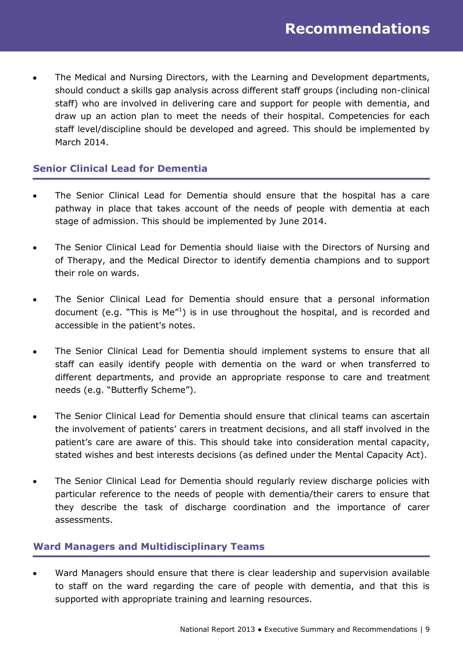The Medical and Nursing Directors, with the Learning and Development departments,  $\bullet$ should conduct a skills gap analysis across different staff groups (including non-clinical staff) who are involved in delivering care and support for people with dementia, and draw up an action plan to meet the needs of their hospital. Competencies for each staff level/discipline should be developed and agreed. This should be implemented by March 2014.

# **Senior Clinical Lead for Dementia**

- The Senior Clinical Lead for Dementia should ensure that the hospital has a care pathway in place that takes account of the needs of people with dementia at each stage of admission. This should be implemented by June 2014.
- The Senior Clinical Lead for Dementia should liaise with the Directors of Nursing and of Therapy, and the Medical Director to identify dementia champions and to support their role on wards.
- The Senior Clinical Lead for Dementia should ensure that a personal information document (e.g. "This is  $Me''<sup>1</sup>$ ) is in use throughout the hospital, and is recorded and accessible in the patient's notes.
- The Senior Clinical Lead for Dementia should implement systems to ensure that all staff can easily identify people with dementia on the ward or when transferred to different departments, and provide an appropriate response to care and treatment needs (e.g. "Butterfly Scheme").
- The Senior Clinical Lead for Dementia should ensure that clinical teams can ascertain  $\bullet$ the involvement of patients' carers in treatment decisions, and all staff involved in the patient's care are aware of this. This should take into consideration mental capacity, stated wishes and best interests decisions (as defined under the Mental Capacity Act).
- The Senior Clinical Lead for Dementia should regularly review discharge policies with  $\bullet$ particular reference to the needs of people with dementia/their carers to ensure that they describe the task of discharge coordination and the importance of carer assessments.

# **Ward Managers and Multidisciplinary Teams**

Ward Managers should ensure that there is clear leadership and supervision available to staff on the ward regarding the care of people with dementia, and that this is supported with appropriate training and learning resources.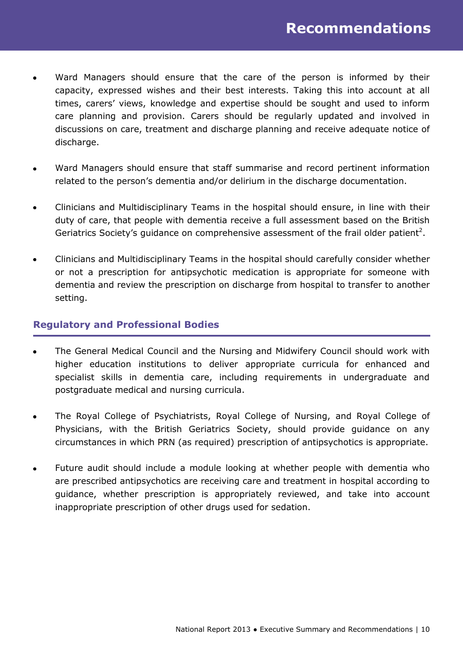- Ward Managers should ensure that the care of the person is informed by their  $\bullet$ capacity, expressed wishes and their best interests. Taking this into account at all times, carers' views, knowledge and expertise should be sought and used to inform care planning and provision. Carers should be regularly updated and involved in discussions on care, treatment and discharge planning and receive adequate notice of discharge.
- Ward Managers should ensure that staff summarise and record pertinent information related to the person's dementia and/or delirium in the discharge documentation.
- Clinicians and Multidisciplinary Teams in the hospital should ensure, in line with their duty of care, that people with dementia receive a full assessment based on the British Geriatrics Society's guidance on comprehensive assessment of the frail older patient<sup>2</sup>.
- Clinicians and Multidisciplinary Teams in the hospital should carefully consider whether or not a prescription for antipsychotic medication is appropriate for someone with dementia and review the prescription on discharge from hospital to transfer to another setting.

## **Regulatory and Professional Bodies**

- The General Medical Council and the Nursing and Midwifery Council should work with higher education institutions to deliver appropriate curricula for enhanced and specialist skills in dementia care, including requirements in undergraduate and postgraduate medical and nursing curricula.
- The Royal College of Psychiatrists, Royal College of Nursing, and Royal College of  $\bullet$ Physicians, with the British Geriatrics Society, should provide guidance on any circumstances in which PRN (as required) prescription of antipsychotics is appropriate.
- Future audit should include a module looking at whether people with dementia who are prescribed antipsychotics are receiving care and treatment in hospital according to guidance, whether prescription is appropriately reviewed, and take into account inappropriate prescription of other drugs used for sedation.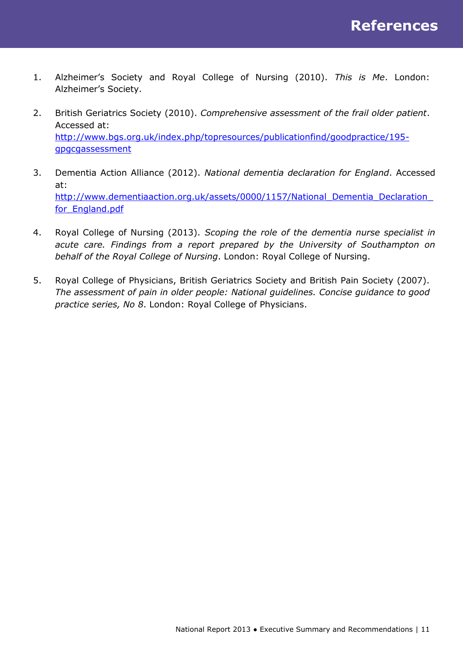- 1. Alzheimer's Society and Royal College of Nursing (2010). *This is Me*. London: Alzheimer's Society.
- 2. British Geriatrics Society (2010). *Comprehensive assessment of the frail older patient*. Accessed at: [http://www.bgs.org.uk/index.php/topresources/publicationfind/goodpractice/195](http://www.bgs.org.uk/index.php/topresources/publicationfind/goodpractice/195-gpgcgassessment) [gpgcgassessment](http://www.bgs.org.uk/index.php/topresources/publicationfind/goodpractice/195-gpgcgassessment)
- 3. Dementia Action Alliance (2012). *National dementia declaration for England*. Accessed at: [http://www.dementiaaction.org.uk/assets/0000/1157/National\\_Dementia\\_Declaration\\_](http://www.dementiaaction.org.uk/assets/0000/1157/National_Dementia_Declaration_for_England.pdf) for England.pdf
- 4. Royal College of Nursing (2013). *Scoping the role of the dementia nurse specialist in acute care. Findings from a report prepared by the University of Southampton on behalf of the Royal College of Nursing*. London: Royal College of Nursing.
- 5. Royal College of Physicians, British Geriatrics Society and British Pain Society (2007). *The assessment of pain in older people: National guidelines. Concise guidance to good practice series, No 8*. London: Royal College of Physicians.